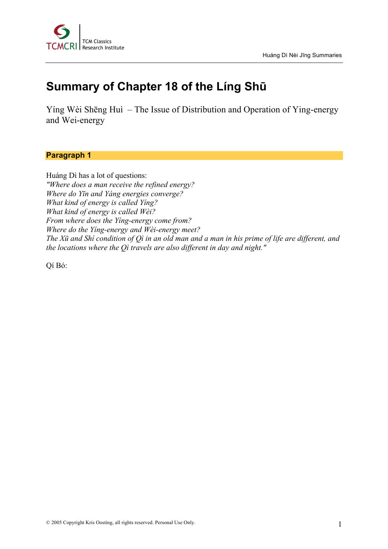

# **Summary of Chapter 18 of the Líng Shū**

Yíng Wèi Shēng Huì – The Issue of Distribution and Operation of Ying-energy and Wei-energy

# **Paragraph 1**

Huáng Dì has a lot of questions: *"Where does a man receive the refined energy? Where do Yīn and Yáng energies converge? What kind of energy is called Yíng? What kind of energy is called Wèi? From where does the Yíng-energy come from? Where do the Yíng-energy and Wèi-energy meet? The Xū and Shí condition of Qì in an old man and a man in his prime of life are different, and the locations where the Qì travels are also different in day and night."*

Qí Bó: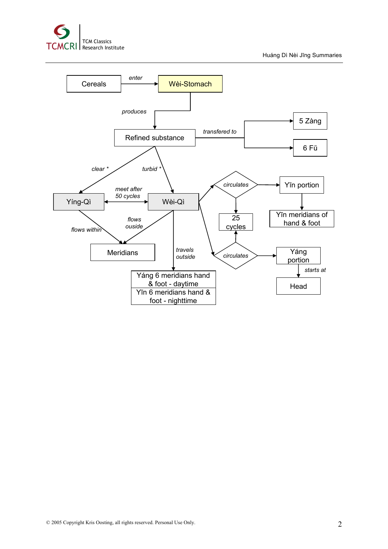

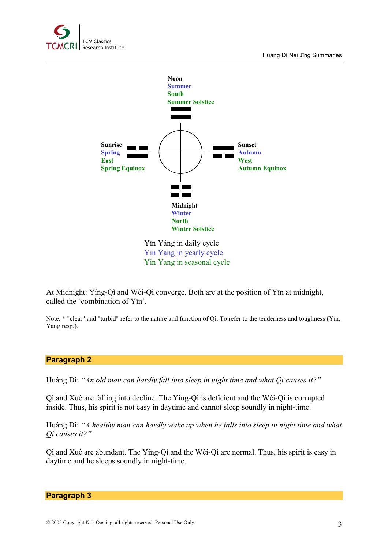



Yin Yang in yearly cycle Yin Yang in seasonal cycle

At Midnight: Yíng-Qì and Wèi-Qì converge. Both are at the position of Yīn at midnight, called the 'combination of Yīn'.

Note: \* "clear" and "turbid" refer to the nature and function of Qì. To refer to the tenderness and toughness (Yīn, Yáng resp.).

### **Paragraph 2**

Huáng Dì: *"An old man can hardly fall into sleep in night time and what Qì causes it?"*

Qì and Xuè are falling into decline. The Yíng-Qì is deficient and the Wèi-Qì is corrupted inside. Thus, his spirit is not easy in daytime and cannot sleep soundly in night-time.

Huáng Dì: *"A healthy man can hardly wake up when he falls into sleep in night time and what Qì causes it?"*

Qì and Xuè are abundant. The Yíng-Qì and the Wèi-Qì are normal. Thus, his spirit is easy in daytime and he sleeps soundly in night-time.

#### **Paragraph 3**

© 2005 Copyright Kris Oosting, all rights reserved. Personal Use Only. 3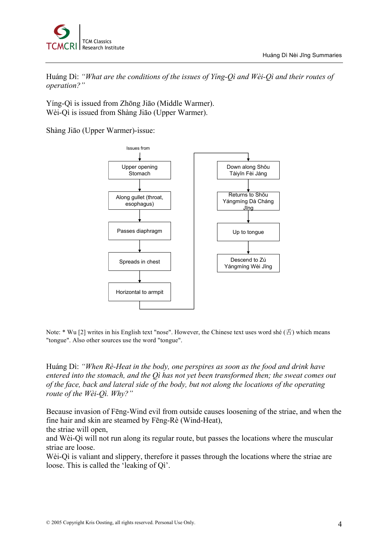

Huáng Dì: *"What are the conditions of the issues of Yíng-Qì and Wèi-Qì and their routes of operation?"*

Yíng-Qì is issued from Zhōng Jiāo (Middle Warmer). Wèi-Qì is issued from Shàng Jiāo (Upper Warmer).

Shàng Jiāo (Upper Warmer)-issue:



Note: \* Wu [2] writes in his English text "nose". However, the Chinese text uses word shé (舌) which means "tongue". Also other sources use the word "tongue".

Huáng Dì: *"When Rè-Heat in the body, one perspires as soon as the food and drink have entered into the stomach, and the Qì has not yet been transformed then; the sweat comes out of the face, back and lateral side of the body, but not along the locations of the operating route of the Wèi-Qì. Why?"*

Because invasion of Fēng-Wind evil from outside causes loosening of the striae, and when the fine hair and skin are steamed by Fēng-Rè (Wind-Heat),

the striae will open,

and Wèi-Qì will not run along its regular route, but passes the locations where the muscular striae are loose.

Wèi-Qì is valiant and slippery, therefore it passes through the locations where the striae are loose. This is called the 'leaking of Qì'.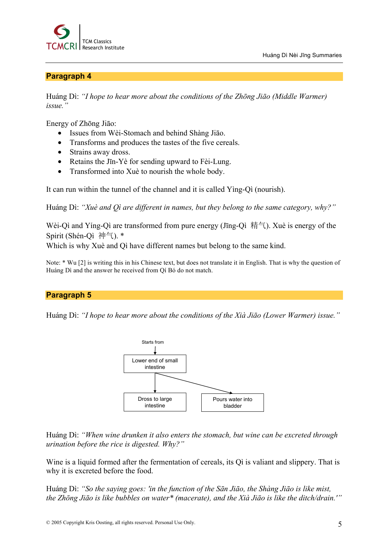



## **Paragraph 4**

Huáng Dì: *"I hope to hear more about the conditions of the Zhōng Jiāo (Middle Warmer) issue."*

Energy of Zhōng Jiāo:

- Issues from Wèi-Stomach and behind Shàng Jiāo.
- Transforms and produces the tastes of the five cereals.
- Strains away dross.
- Retains the J<sub>I</sub>n-Yè for sending upward to Fèi-Lung.
- Transformed into Xuè to nourish the whole body.

It can run within the tunnel of the channel and it is called Yìng-Qì (nourish).

Huáng Dì: *"Xuè and Qì are different in names, but they belong to the same category, why?"*

Wèi-Qì and Yíng-Qì are transformed from pure energy (Jīng-Qì 精气). Xuè is energy of the Spirit (Shén-Qì 神气). \*

Which is why Xuè and Qì have different names but belong to the same kind.

Note: \* Wu [2] is writing this in his Chinese text, but does not translate it in English. That is why the question of Huáng Dì and the answer he received from Qí Bó do not match.

## **Paragraph 5**

Huáng Dì: *"I hope to hear more about the conditions of the Xià Jiāo (Lower Warmer) issue."*



Huáng Dì: *"When wine drunken it also enters the stomach, but wine can be excreted through urination before the rice is digested. Why?"*

Wine is a liquid formed after the fermentation of cereals, its Qì is valiant and slippery. That is why it is excreted before the food.

Huáng Dì: *"So the saying goes: 'in the function of the Sān Jiāo, the Shàng Jiāo is like mist, the Zhōng Jiāo is like bubbles on water\* (macerate), and the Xià Jiāo is like the ditch/drain.'"*